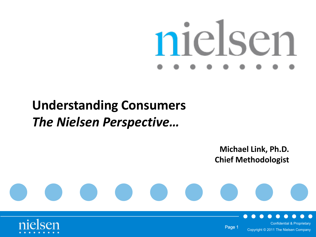# nielsen

# **Understanding Consumers** *The Nielsen Perspective…*

**Michael Link, Ph.D. Chief Methodologist**





Confidential & Proprietary Page 1 Copyright © 2011 The Nielsen Company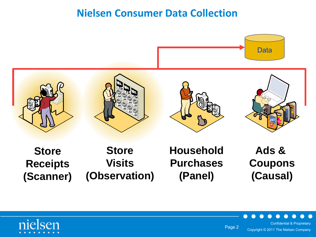#### **Nielsen Consumer Data Collection**



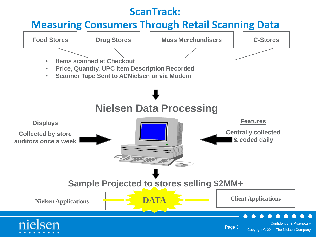#### **ScanTrack:**

#### **Measuring Consumers Through Retail Scanning Data**

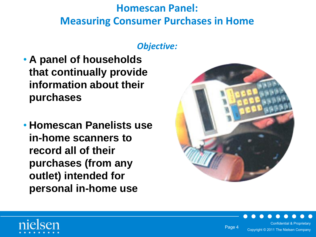### **Homescan Panel: Measuring Consumer Purchases in Home**

#### *Objective:*

- **A panel of households that continually provide information about their purchases**
- **Homescan Panelists use in-home scanners to record all of their purchases (from any outlet) intended for personal in-home use**



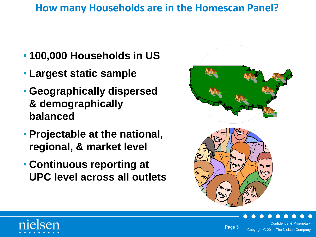#### **How many Households are in the Homescan Panel?**

- **100,000 Households in US**
- **Largest static sample**
- **Geographically dispersed & demographically balanced**
- **Projectable at the national, regional, & market level**
- **Continuous reporting at UPC level across all outlets**







Copyright © 2011 The Nielsen Company

Confidential & Proprietary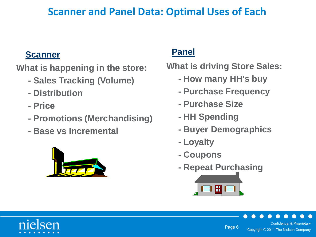#### **Scanner and Panel Data: Optimal Uses of Each**

#### **Scanner**

**What is happening in the store:**

- **Sales Tracking (Volume)**
- **Distribution**
- **Price**
- **Promotions (Merchandising)**
- **Base vs Incremental**



#### **Panel**

**What is driving Store Sales:**

- **How many HH's buy**
- **Purchase Frequency**
- **Purchase Size**
- **HH Spending**
- **Buyer Demographics**
- **Loyalty**
- **Coupons**
- **Repeat Purchasing**



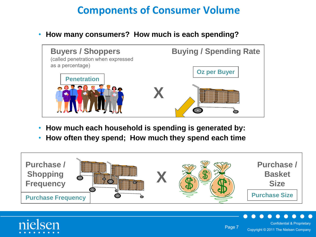#### **Components of Consumer Volume**

• **How many consumers? How much is each spending?**



- **How much each household is spending is generated by:**
- **How often they spend; How much they spend each time**